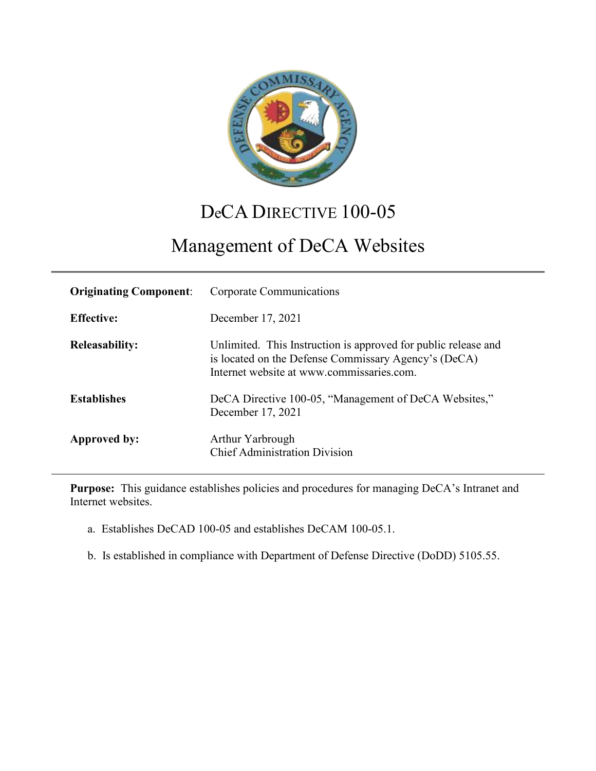

## DeCA DIRECTIVE 100-05

# Management of DeCA Websites

| <b>Originating Component:</b> | Corporate Communications                                                                                                                                            |
|-------------------------------|---------------------------------------------------------------------------------------------------------------------------------------------------------------------|
| <b>Effective:</b>             | December 17, 2021                                                                                                                                                   |
| <b>Releasability:</b>         | Unlimited. This Instruction is approved for public release and<br>is located on the Defense Commissary Agency's (DeCA)<br>Internet website at www.commissaries.com. |
| <b>Establishes</b>            | DeCA Directive 100-05, "Management of DeCA Websites,"<br>December 17, 2021                                                                                          |
| Approved by:                  | Arthur Yarbrough<br><b>Chief Administration Division</b>                                                                                                            |

**Purpose:** This guidance establishes policies and procedures for managing DeCA's Intranet and Internet websites.

- a. Establishes DeCAD 100-05 and establishes DeCAM 100-05.1.
- b. Is established in compliance with Department of Defense Directive (DoDD) 5105.55.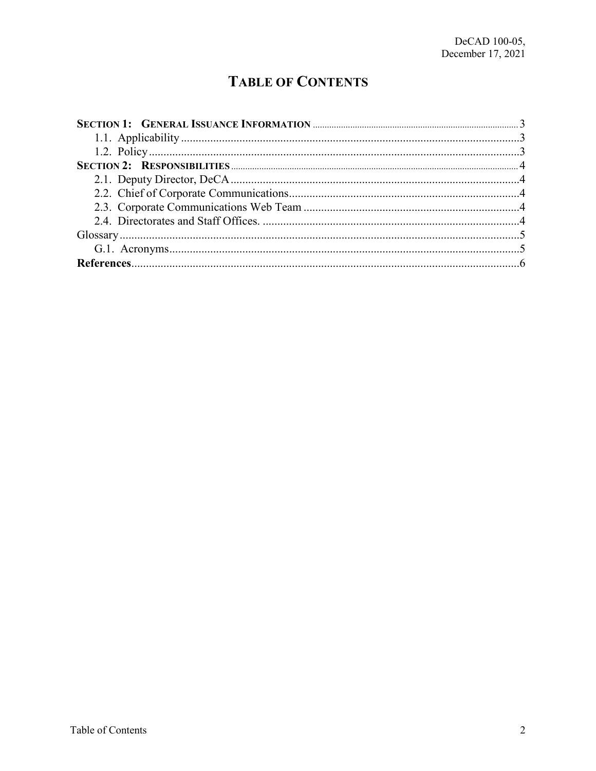## **TABLE OF CONTENTS**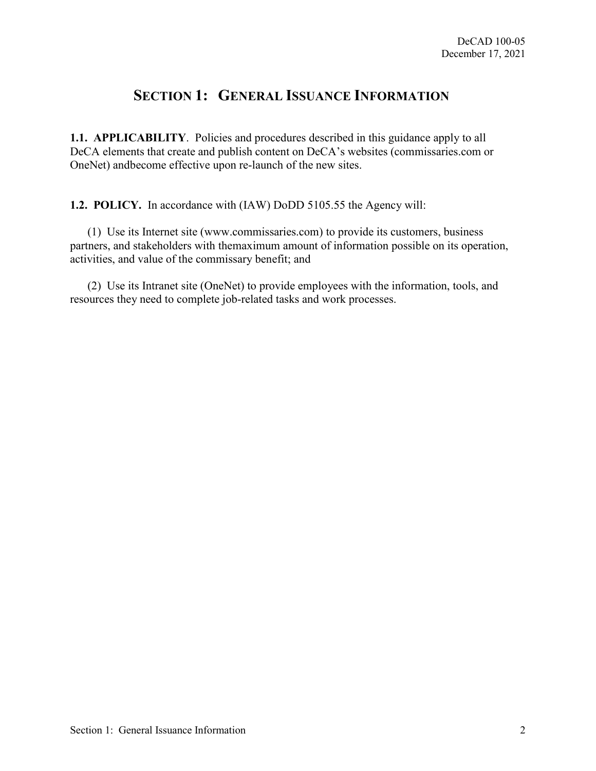### **SECTION 1: GENERAL ISSUANCE INFORMATION**

<span id="page-2-1"></span><span id="page-2-0"></span>**1.1. APPLICABILITY**. Policies and procedures described in this guidance apply to all DeCA elements that create and publish content on DeCA's websites (commissaries.com or OneNet) andbecome effective upon re-launch of the new sites.

<span id="page-2-2"></span>**1.2. POLICY.** In accordance with (IAW) DoDD 5105.55 the Agency will:

(1) Use its Internet site (www.commissaries.com) to provide its customers, business partners, and stakeholders with themaximum amount of information possible on its operation, activities, and value of the commissary benefit; and

(2) Use its Intranet site (OneNet) to provide employees with the information, tools, and resources they need to complete job-related tasks and work processes.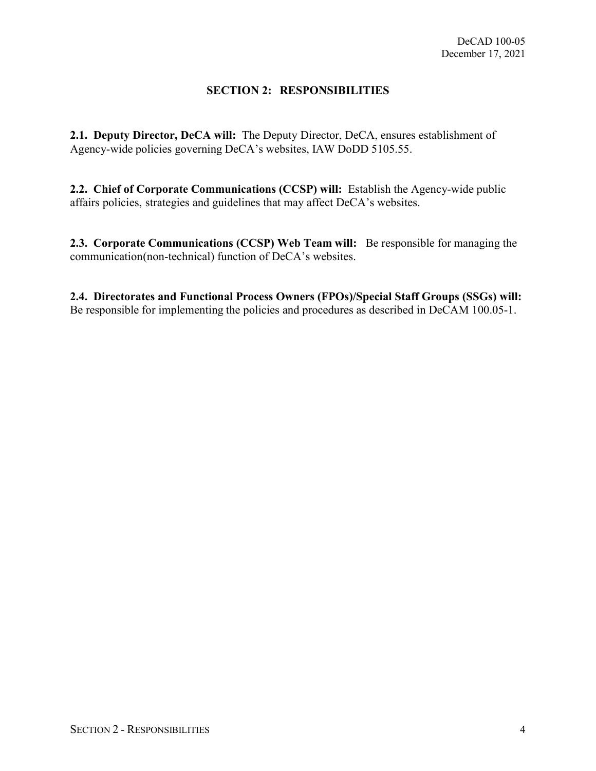#### **SECTION 2: RESPONSIBILITIES**

<span id="page-3-1"></span><span id="page-3-0"></span>**2.1. Deputy Director, DeCA will:** The Deputy Director, DeCA, ensures establishment of Agency-wide policies governing DeCA's websites, IAW DoDD 5105.55.

<span id="page-3-2"></span>**2.2. Chief of Corporate Communications (CCSP) will:** Establish the Agency-wide public affairs policies, strategies and guidelines that may affect DeCA's websites.

<span id="page-3-3"></span>**2.3. Corporate Communications (CCSP) Web Team will:** Be responsible for managing the communication (non-technical) function of DeCA's websites.

<span id="page-3-4"></span>**2.4. Directorates and Functional Process Owners (FPOs)/Special Staff Groups (SSGs) will:** Be responsible for implementing the policies and procedures as described in DeCAM 100.05-1.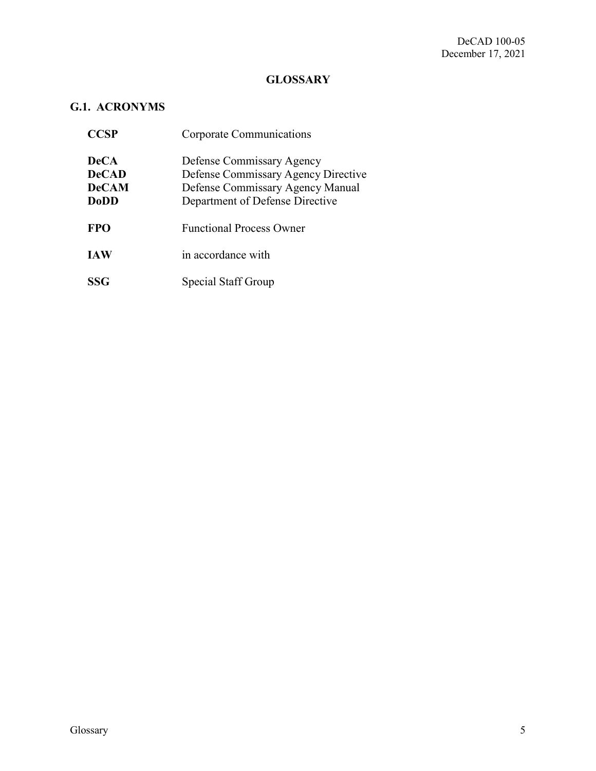#### **GLOSSARY**

#### <span id="page-4-1"></span><span id="page-4-0"></span>**G.1. ACRONYMS**

| <b>CCSP</b>                                                | <b>Corporate Communications</b>                                                                                                         |
|------------------------------------------------------------|-----------------------------------------------------------------------------------------------------------------------------------------|
| <b>DeCA</b><br><b>DeCAD</b><br><b>DeCAM</b><br><b>DoDD</b> | Defense Commissary Agency<br>Defense Commissary Agency Directive<br>Defense Commissary Agency Manual<br>Department of Defense Directive |
| <b>FPO</b>                                                 | <b>Functional Process Owner</b>                                                                                                         |
| <b>IAW</b>                                                 | in accordance with                                                                                                                      |
| <b>SSG</b>                                                 | Special Staff Group                                                                                                                     |